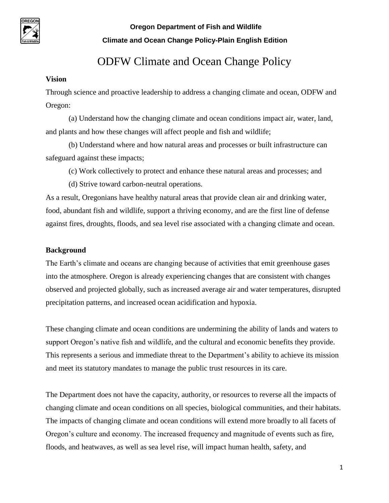

# ODFW Climate and Ocean Change Policy

#### **Vision**

Through science and proactive leadership to address a changing climate and ocean, ODFW and Oregon:

(a) Understand how the changing climate and ocean conditions impact air, water, land, and plants and how these changes will affect people and fish and wildlife;

(b) Understand where and how natural areas and processes or built infrastructure can safeguard against these impacts;

- (c) Work collectively to protect and enhance these natural areas and processes; and
- (d) Strive toward carbon-neutral operations.

As a result, Oregonians have healthy natural areas that provide clean air and drinking water, food, abundant fish and wildlife, support a thriving economy, and are the first line of defense against fires, droughts, floods, and sea level rise associated with a changing climate and ocean.

#### **Background**

The Earth's climate and oceans are changing because of activities that emit greenhouse gases into the atmosphere. Oregon is already experiencing changes that are consistent with changes observed and projected globally, such as increased average air and water temperatures, disrupted precipitation patterns, and increased ocean acidification and hypoxia.

These changing climate and ocean conditions are undermining the ability of lands and waters to support Oregon's native fish and wildlife, and the cultural and economic benefits they provide. This represents a serious and immediate threat to the Department's ability to achieve its mission and meet its statutory mandates to manage the public trust resources in its care.

The Department does not have the capacity, authority, or resources to reverse all the impacts of changing climate and ocean conditions on all species, biological communities, and their habitats. The impacts of changing climate and ocean conditions will extend more broadly to all facets of Oregon's culture and economy. The increased frequency and magnitude of events such as fire, floods, and heatwaves, as well as sea level rise, will impact human health, safety, and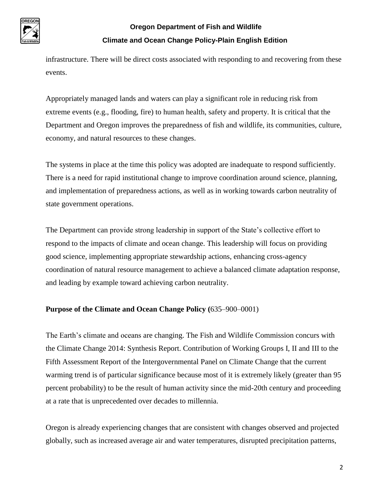

infrastructure. There will be direct costs associated with responding to and recovering from these events.

Appropriately managed lands and waters can play a significant role in reducing risk from extreme events (e.g., flooding, fire) to human health, safety and property. It is critical that the Department and Oregon improves the preparedness of fish and wildlife, its communities, culture, economy, and natural resources to these changes.

The systems in place at the time this policy was adopted are inadequate to respond sufficiently. There is a need for rapid institutional change to improve coordination around science, planning, and implementation of preparedness actions, as well as in working towards carbon neutrality of state government operations.

The Department can provide strong leadership in support of the State's collective effort to respond to the impacts of climate and ocean change. This leadership will focus on providing good science, implementing appropriate stewardship actions, enhancing cross-agency coordination of natural resource management to achieve a balanced climate adaptation response, and leading by example toward achieving carbon neutrality.

#### **Purpose of the Climate and Ocean Change Policy (**635–900–0001)

The Earth's climate and oceans are changing. The Fish and Wildlife Commission concurs with the Climate Change 2014: Synthesis Report. Contribution of Working Groups I, II and III to the Fifth Assessment Report of the Intergovernmental Panel on Climate Change that the current warming trend is of particular significance because most of it is extremely likely (greater than 95 percent probability) to be the result of human activity since the mid-20th century and proceeding at a rate that is unprecedented over decades to millennia.

Oregon is already experiencing changes that are consistent with changes observed and projected globally, such as increased average air and water temperatures, disrupted precipitation patterns,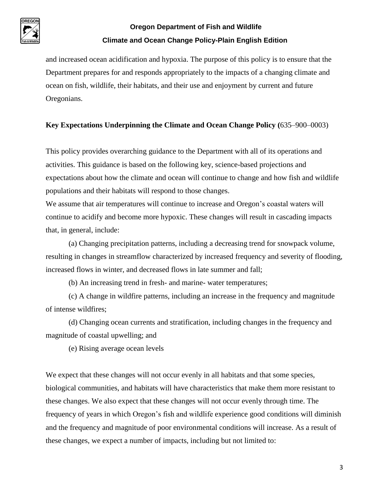

and increased ocean acidification and hypoxia. The purpose of this policy is to ensure that the Department prepares for and responds appropriately to the impacts of a changing climate and ocean on fish, wildlife, their habitats, and their use and enjoyment by current and future Oregonians.

#### **Key Expectations Underpinning the Climate and Ocean Change Policy (**635–900–0003)

This policy provides overarching guidance to the Department with all of its operations and activities. This guidance is based on the following key, science-based projections and expectations about how the climate and ocean will continue to change and how fish and wildlife populations and their habitats will respond to those changes.

We assume that air temperatures will continue to increase and Oregon's coastal waters will continue to acidify and become more hypoxic. These changes will result in cascading impacts that, in general, include:

(a) Changing precipitation patterns, including a decreasing trend for snowpack volume, resulting in changes in streamflow characterized by increased frequency and severity of flooding, increased flows in winter, and decreased flows in late summer and fall;

(b) An increasing trend in fresh- and marine- water temperatures;

(c) A change in wildfire patterns, including an increase in the frequency and magnitude of intense wildfires;

(d) Changing ocean currents and stratification, including changes in the frequency and magnitude of coastal upwelling; and

(e) Rising average ocean levels

We expect that these changes will not occur evenly in all habitats and that some species, biological communities, and habitats will have characteristics that make them more resistant to these changes. We also expect that these changes will not occur evenly through time. The frequency of years in which Oregon's fish and wildlife experience good conditions will diminish and the frequency and magnitude of poor environmental conditions will increase. As a result of these changes, we expect a number of impacts, including but not limited to: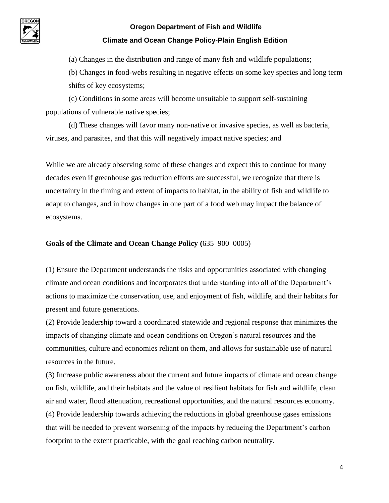

(a) Changes in the distribution and range of many fish and wildlife populations;

(b) Changes in food-webs resulting in negative effects on some key species and long term shifts of key ecosystems;

(c) Conditions in some areas will become unsuitable to support self-sustaining populations of vulnerable native species;

(d) These changes will favor many non-native or invasive species, as well as bacteria, viruses, and parasites, and that this will negatively impact native species; and

While we are already observing some of these changes and expect this to continue for many decades even if greenhouse gas reduction efforts are successful, we recognize that there is uncertainty in the timing and extent of impacts to habitat, in the ability of fish and wildlife to adapt to changes, and in how changes in one part of a food web may impact the balance of ecosystems.

#### **Goals of the Climate and Ocean Change Policy (**635–900–0005)

(1) Ensure the Department understands the risks and opportunities associated with changing climate and ocean conditions and incorporates that understanding into all of the Department's actions to maximize the conservation, use, and enjoyment of fish, wildlife, and their habitats for present and future generations.

(2) Provide leadership toward a coordinated statewide and regional response that minimizes the impacts of changing climate and ocean conditions on Oregon's natural resources and the communities, culture and economies reliant on them, and allows for sustainable use of natural resources in the future.

(3) Increase public awareness about the current and future impacts of climate and ocean change on fish, wildlife, and their habitats and the value of resilient habitats for fish and wildlife, clean air and water, flood attenuation, recreational opportunities, and the natural resources economy. (4) Provide leadership towards achieving the reductions in global greenhouse gases emissions that will be needed to prevent worsening of the impacts by reducing the Department's carbon footprint to the extent practicable, with the goal reaching carbon neutrality.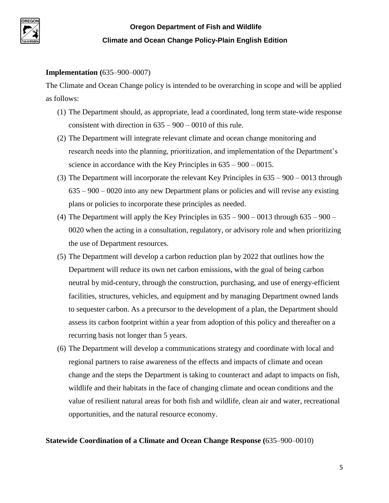

#### **Implementation (**635–900–0007)

The Climate and Ocean Change policy is intended to be overarching in scope and will be applied as follows:

- (1) The Department should, as appropriate, lead a coordinated, long term state-wide response consistent with direction in 635 – 900 – 0010 of this rule.
- (2) The Department will integrate relevant climate and ocean change monitoring and research needs into the planning, prioritization, and implementation of the Department's science in accordance with the Key Principles in 635 – 900 – 0015.
- (3) The Department will incorporate the relevant Key Principles in 635 900 0013 through 635 – 900 – 0020 into any new Department plans or policies and will revise any existing plans or policies to incorporate these principles as needed.
- (4) The Department will apply the Key Principles in  $635 900 0013$  through  $635 900 0013$ 0020 when the acting in a consultation, regulatory, or advisory role and when prioritizing the use of Department resources.
- (5) The Department will develop a carbon reduction plan by 2022 that outlines how the Department will reduce its own net carbon emissions, with the goal of being carbon neutral by mid-century, through the construction, purchasing, and use of energy-efficient facilities, structures, vehicles, and equipment and by managing Department owned lands to sequester carbon. As a precursor to the development of a plan, the Department should assess its carbon footprint within a year from adoption of this policy and thereafter on a recurring basis not longer than 5 years.
- (6) The Department will develop a communications strategy and coordinate with local and regional partners to raise awareness of the effects and impacts of climate and ocean change and the steps the Department is taking to counteract and adapt to impacts on fish, wildlife and their habitats in the face of changing climate and ocean conditions and the value of resilient natural areas for both fish and wildlife, clean air and water, recreational opportunities, and the natural resource economy.

#### **Statewide Coordination of a Climate and Ocean Change Response (**635–900–0010)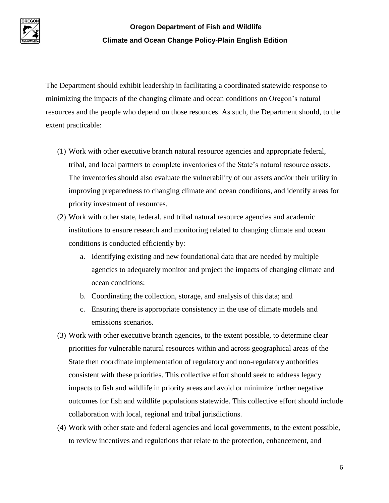

The Department should exhibit leadership in facilitating a coordinated statewide response to minimizing the impacts of the changing climate and ocean conditions on Oregon's natural resources and the people who depend on those resources. As such, the Department should, to the extent practicable:

- (1) Work with other executive branch natural resource agencies and appropriate federal, tribal, and local partners to complete inventories of the State's natural resource assets. The inventories should also evaluate the vulnerability of our assets and/or their utility in improving preparedness to changing climate and ocean conditions, and identify areas for priority investment of resources.
- (2) Work with other state, federal, and tribal natural resource agencies and academic institutions to ensure research and monitoring related to changing climate and ocean conditions is conducted efficiently by:
	- a. Identifying existing and new foundational data that are needed by multiple agencies to adequately monitor and project the impacts of changing climate and ocean conditions;
	- b. Coordinating the collection, storage, and analysis of this data; and
	- c. Ensuring there is appropriate consistency in the use of climate models and emissions scenarios.
- (3) Work with other executive branch agencies, to the extent possible, to determine clear priorities for vulnerable natural resources within and across geographical areas of the State then coordinate implementation of regulatory and non-regulatory authorities consistent with these priorities. This collective effort should seek to address legacy impacts to fish and wildlife in priority areas and avoid or minimize further negative outcomes for fish and wildlife populations statewide. This collective effort should include collaboration with local, regional and tribal jurisdictions.
- (4) Work with other state and federal agencies and local governments, to the extent possible, to review incentives and regulations that relate to the protection, enhancement, and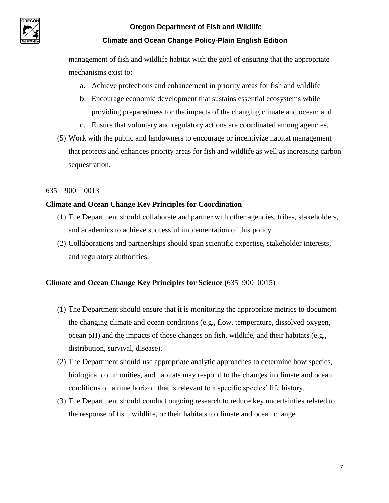

management of fish and wildlife habitat with the goal of ensuring that the appropriate mechanisms exist to:

- a. Achieve protections and enhancement in priority areas for fish and wildlife
- b. Encourage economic development that sustains essential ecosystems while providing preparedness for the impacts of the changing climate and ocean; and
- c. Ensure that voluntary and regulatory actions are coordinated among agencies.
- (5) Work with the public and landowners to encourage or incentivize habitat management that protects and enhances priority areas for fish and wildlife as well as increasing carbon sequestration.

#### $635 - 900 - 0013$

#### **Climate and Ocean Change Key Principles for Coordination**

- (1) The Department should collaborate and partner with other agencies, tribes, stakeholders, and academics to achieve successful implementation of this policy.
- (2) Collaborations and partnerships should span scientific expertise, stakeholder interests, and regulatory authorities.

#### **Climate and Ocean Change Key Principles for Science (**635–900–0015)

- (1) The Department should ensure that it is monitoring the appropriate metrics to document the changing climate and ocean conditions (e.g., flow, temperature, dissolved oxygen, ocean pH) and the impacts of those changes on fish, wildlife, and their habitats (e.g., distribution, survival, disease).
- (2) The Department should use appropriate analytic approaches to determine how species, biological communities, and habitats may respond to the changes in climate and ocean conditions on a time horizon that is relevant to a specific species' life history.
- (3) The Department should conduct ongoing research to reduce key uncertainties related to the response of fish, wildlife, or their habitats to climate and ocean change.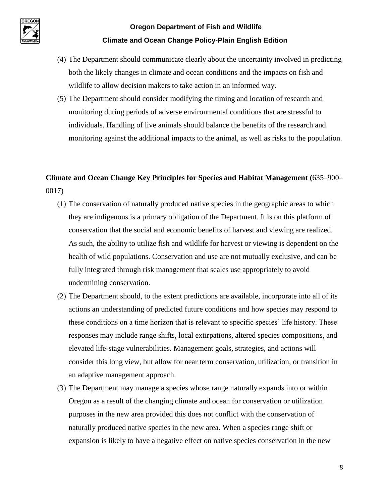

- (4) The Department should communicate clearly about the uncertainty involved in predicting both the likely changes in climate and ocean conditions and the impacts on fish and wildlife to allow decision makers to take action in an informed way.
- (5) The Department should consider modifying the timing and location of research and monitoring during periods of adverse environmental conditions that are stressful to individuals. Handling of live animals should balance the benefits of the research and monitoring against the additional impacts to the animal, as well as risks to the population.

### **Climate and Ocean Change Key Principles for Species and Habitat Management (**635–900– 0017)

- (1) The conservation of naturally produced native species in the geographic areas to which they are indigenous is a primary obligation of the Department. It is on this platform of conservation that the social and economic benefits of harvest and viewing are realized. As such, the ability to utilize fish and wildlife for harvest or viewing is dependent on the health of wild populations. Conservation and use are not mutually exclusive, and can be fully integrated through risk management that scales use appropriately to avoid undermining conservation.
- (2) The Department should, to the extent predictions are available, incorporate into all of its actions an understanding of predicted future conditions and how species may respond to these conditions on a time horizon that is relevant to specific species' life history. These responses may include range shifts, local extirpations, altered species compositions, and elevated life-stage vulnerabilities. Management goals, strategies, and actions will consider this long view, but allow for near term conservation, utilization, or transition in an adaptive management approach.
- (3) The Department may manage a species whose range naturally expands into or within Oregon as a result of the changing climate and ocean for conservation or utilization purposes in the new area provided this does not conflict with the conservation of naturally produced native species in the new area. When a species range shift or expansion is likely to have a negative effect on native species conservation in the new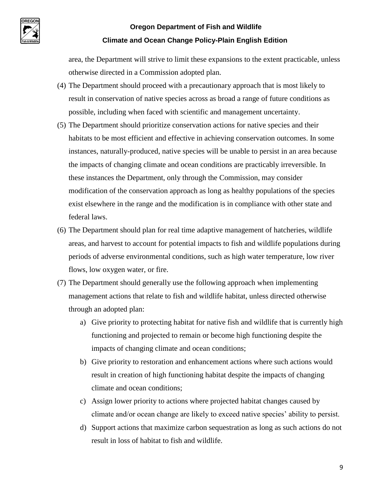

area, the Department will strive to limit these expansions to the extent practicable, unless otherwise directed in a Commission adopted plan.

- (4) The Department should proceed with a precautionary approach that is most likely to result in conservation of native species across as broad a range of future conditions as possible, including when faced with scientific and management uncertainty.
- (5) The Department should prioritize conservation actions for native species and their habitats to be most efficient and effective in achieving conservation outcomes. In some instances, naturally-produced, native species will be unable to persist in an area because the impacts of changing climate and ocean conditions are practicably irreversible. In these instances the Department, only through the Commission, may consider modification of the conservation approach as long as healthy populations of the species exist elsewhere in the range and the modification is in compliance with other state and federal laws.
- (6) The Department should plan for real time adaptive management of hatcheries, wildlife areas, and harvest to account for potential impacts to fish and wildlife populations during periods of adverse environmental conditions, such as high water temperature, low river flows, low oxygen water, or fire.
- (7) The Department should generally use the following approach when implementing management actions that relate to fish and wildlife habitat, unless directed otherwise through an adopted plan:
	- a) Give priority to protecting habitat for native fish and wildlife that is currently high functioning and projected to remain or become high functioning despite the impacts of changing climate and ocean conditions;
	- b) Give priority to restoration and enhancement actions where such actions would result in creation of high functioning habitat despite the impacts of changing climate and ocean conditions;
	- c) Assign lower priority to actions where projected habitat changes caused by climate and/or ocean change are likely to exceed native species' ability to persist.
	- d) Support actions that maximize carbon sequestration as long as such actions do not result in loss of habitat to fish and wildlife.